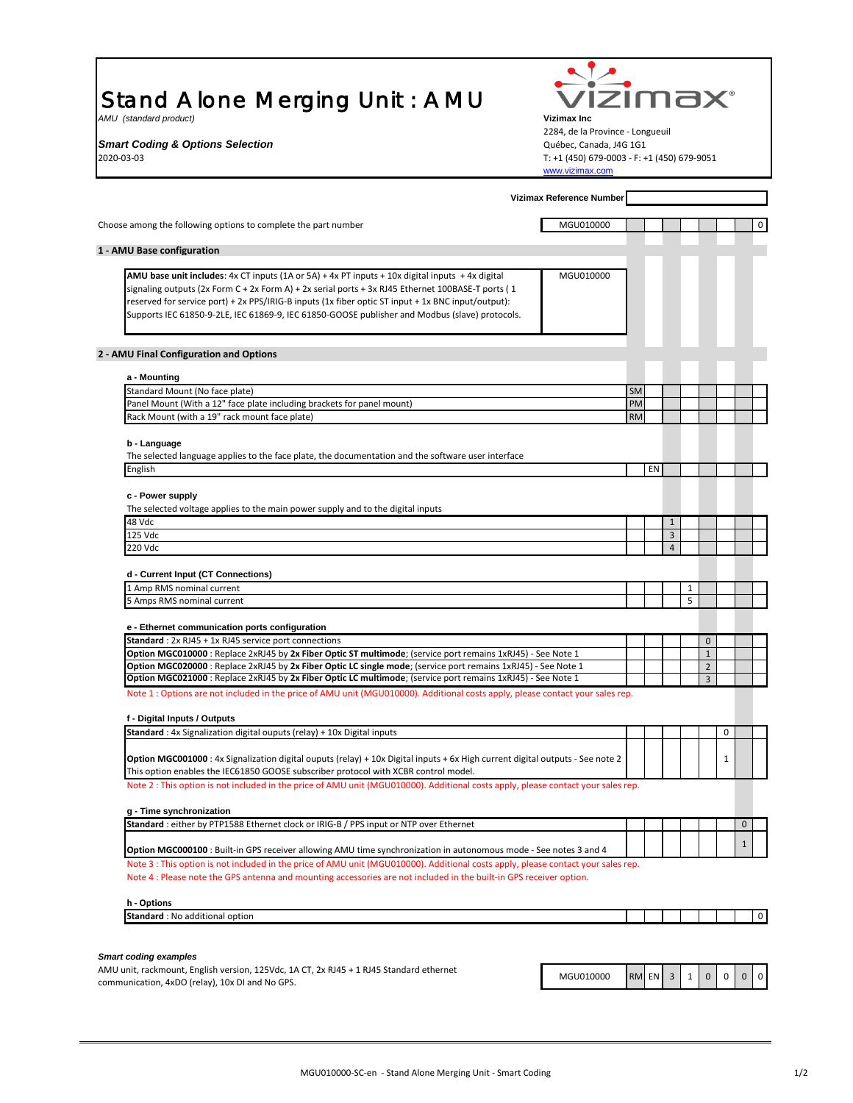## Stand Alone Merging Unit : AMU

communication, 4xDO (relay), 10x DI and No GPS.

| izima<br>Stand Alone Merging Unit: AMU                                                                                                                                                                                                                   |                                                                |                 |    |                     |                   |                              |              |              |
|----------------------------------------------------------------------------------------------------------------------------------------------------------------------------------------------------------------------------------------------------------|----------------------------------------------------------------|-----------------|----|---------------------|-------------------|------------------------------|--------------|--------------|
| AMU (standard product)<br><b>Vizimax Inc</b>                                                                                                                                                                                                             |                                                                |                 |    |                     |                   |                              |              |              |
| 2284, de la Province - Longueuil<br><b>Smart Coding &amp; Options Selection</b><br>Québec, Canada, J4G 1G1                                                                                                                                               |                                                                |                 |    |                     |                   |                              |              |              |
|                                                                                                                                                                                                                                                          |                                                                |                 |    |                     |                   |                              |              |              |
| 2020-03-03                                                                                                                                                                                                                                               | T: +1 (450) 679-0003 - F: +1 (450) 679-9051<br>www.vizimax.com |                 |    |                     |                   |                              |              |              |
|                                                                                                                                                                                                                                                          | Vizimax Reference Number                                       |                 |    |                     |                   |                              |              |              |
| Choose among the following options to complete the part number                                                                                                                                                                                           | MGU010000                                                      |                 |    |                     |                   |                              |              | 0            |
| 1 - AMU Base configuration                                                                                                                                                                                                                               |                                                                |                 |    |                     |                   |                              |              |              |
| AMU base unit includes: 4x CT inputs (1A or 5A) + 4x PT inputs + 10x digital inputs + 4x digital                                                                                                                                                         | MGU010000                                                      |                 |    |                     |                   |                              |              |              |
| signaling outputs (2x Form C + 2x Form A) + 2x serial ports + 3x RJ45 Ethernet 100BASE-T ports (1                                                                                                                                                        |                                                                |                 |    |                     |                   |                              |              |              |
| reserved for service port) + 2x PPS/IRIG-B inputs (1x fiber optic ST input + 1x BNC input/output):<br>Supports IEC 61850-9-2LE, IEC 61869-9, IEC 61850-GOOSE publisher and Modbus (slave) protocols.                                                     |                                                                |                 |    |                     |                   |                              |              |              |
| 2 - AMU Final Configuration and Options                                                                                                                                                                                                                  |                                                                |                 |    |                     |                   |                              |              |              |
| a - Mounting                                                                                                                                                                                                                                             |                                                                |                 |    |                     |                   |                              |              |              |
| Standard Mount (No face plate)                                                                                                                                                                                                                           |                                                                | <b>SM</b>       |    |                     |                   |                              |              |              |
| Panel Mount (With a 12" face plate including brackets for panel mount)<br>Rack Mount (with a 19" rack mount face plate)                                                                                                                                  |                                                                | PM<br><b>RM</b> |    |                     |                   |                              |              |              |
| b - Language                                                                                                                                                                                                                                             |                                                                |                 |    |                     |                   |                              |              |              |
| The selected language applies to the face plate, the documentation and the software user interface                                                                                                                                                       |                                                                |                 |    |                     |                   |                              |              |              |
| English                                                                                                                                                                                                                                                  |                                                                |                 | EN |                     |                   |                              |              |              |
| c - Power supply                                                                                                                                                                                                                                         |                                                                |                 |    |                     |                   |                              |              |              |
| The selected voltage applies to the main power supply and to the digital inputs                                                                                                                                                                          |                                                                |                 |    |                     |                   |                              |              |              |
| 48 Vdc                                                                                                                                                                                                                                                   |                                                                |                 |    | $\mathbf{1}$        |                   |                              |              |              |
| 125 Vdc<br>220 Vdc                                                                                                                                                                                                                                       |                                                                |                 |    | 3<br>$\overline{4}$ |                   |                              |              |              |
|                                                                                                                                                                                                                                                          |                                                                |                 |    |                     |                   |                              |              |              |
| d - Current Input (CT Connections)                                                                                                                                                                                                                       |                                                                |                 |    |                     |                   |                              |              |              |
| 1 Amp RMS nominal current<br>5 Amps RMS nominal current                                                                                                                                                                                                  |                                                                |                 |    |                     | $\mathbf{1}$<br>5 |                              |              |              |
|                                                                                                                                                                                                                                                          |                                                                |                 |    |                     |                   |                              |              |              |
| e - Ethernet communication ports configuration                                                                                                                                                                                                           |                                                                |                 |    |                     |                   |                              |              |              |
| Standard: 2x RJ45 + 1x RJ45 service port connections<br>Option MGC010000 : Replace 2xRJ45 by 2x Fiber Optic ST multimode; (service port remains 1xRJ45) - See Note 1                                                                                     |                                                                |                 |    |                     |                   | $\mathbf{0}$<br>$\mathbf{1}$ |              |              |
| Option MGC020000 : Replace 2xRJ45 by 2x Fiber Optic LC single mode; (service port remains 1xRJ45) - See Note 1                                                                                                                                           |                                                                |                 |    |                     |                   | $\overline{2}$               |              |              |
| Option MGC021000 : Replace 2xRJ45 by 2x Fiber Optic LC multimode; (service port remains 1xRJ45) - See Note 1                                                                                                                                             |                                                                |                 |    |                     |                   | 3                            |              |              |
| Note 1: Options are not included in the price of AMU unit (MGU010000). Additional costs apply, please contact your sales rep.                                                                                                                            |                                                                |                 |    |                     |                   |                              |              |              |
| f - Digital Inputs / Outputs                                                                                                                                                                                                                             |                                                                |                 |    |                     |                   |                              |              |              |
| <b>Standard</b> : 4x Signalization digital ouputs (relay) + 10x Digital inputs                                                                                                                                                                           |                                                                |                 |    |                     |                   |                              | 0            |              |
| Option MGC001000 : 4x Signalization digital ouputs (relay) + 10x Digital inputs + 6x High current digital outputs - See note 2<br>This option enables the IEC61850 GOOSE subscriber protocol with XCBR control model.                                    |                                                                |                 |    |                     |                   |                              | $\mathbf{1}$ |              |
| Note 2 : This option is not included in the price of AMU unit (MGU010000). Additional costs apply, please contact your sales rep.                                                                                                                        |                                                                |                 |    |                     |                   |                              |              |              |
| g - Time synchronization                                                                                                                                                                                                                                 |                                                                |                 |    |                     |                   |                              |              |              |
| Standard : either by PTP1588 Ethernet clock or IRIG-B / PPS input or NTP over Ethernet                                                                                                                                                                   |                                                                |                 |    |                     |                   |                              |              | $\mathbf{0}$ |
| <b>Option MGC000100</b> : Built-in GPS receiver allowing AMU time synchronization in autonomous mode - See notes 3 and 4                                                                                                                                 |                                                                |                 |    |                     |                   |                              |              | $\mathbf{1}$ |
| Note 3 : This option is not included in the price of AMU unit (MGU010000). Additional costs apply, please contact your sales rep.<br>Note 4 : Please note the GPS antenna and mounting accessories are not included in the built-in GPS receiver option. |                                                                |                 |    |                     |                   |                              |              |              |
|                                                                                                                                                                                                                                                          |                                                                |                 |    |                     |                   |                              |              |              |
| h - Options<br>Standard: No additional option                                                                                                                                                                                                            |                                                                |                 |    |                     |                   |                              |              | 0            |